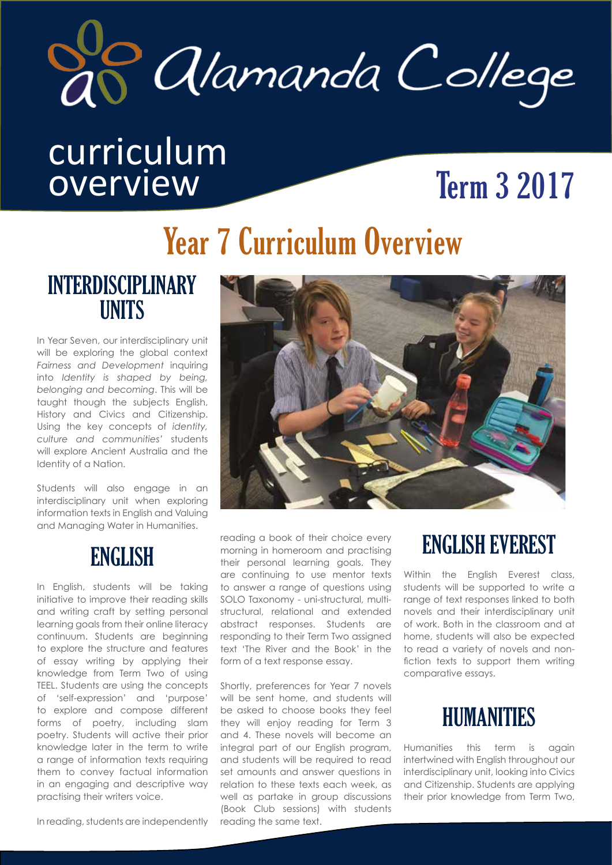

# curriculum overview Term 3 2017

# Year 7 Curriculum Overview

#### INTERDISCIPLINARY **UNITS**

In Year Seven, our interdisciplinary unit will be exploring the global context *Fairness and Development* inquiring into *Identity is shaped by being, belonging and becoming*. This will be taught though the subjects English, History and Civics and Citizenship. Using the key concepts of *identity, culture and communities'* students will explore Ancient Australia and the Identity of a Nation.

Students will also engage in an interdisciplinary unit when exploring information texts in English and Valuing and Managing Water in Humanities.

# ENGLISH

In English, students will be taking initiative to improve their reading skills and writing craft by setting personal learning goals from their online literacy continuum. Students are beginning to explore the structure and features of essay writing by applying their knowledge from Term Two of using TEEL. Students are using the concepts of 'self-expression' and 'purpose' to explore and compose different forms of poetry, including slam poetry. Students will active their prior knowledge later in the term to write a range of information texts requiring them to convey factual information in an engaging and descriptive way practising their writers voice.

In reading, students are independently



reading a book of their choice every morning in homeroom and practising their personal learning goals. They are continuing to use mentor texts to answer a range of questions using SOLO Taxonomy - uni-structural, multistructural, relational and extended abstract responses. Students are responding to their Term Two assigned text 'The River and the Book' in the form of a text response essay.

Shortly, preferences for Year 7 novels will be sent home, and students will be asked to choose books they feel they will enjoy reading for Term 3 and 4. These novels will become an integral part of our English program, and students will be required to read set amounts and answer questions in relation to these texts each week, as well as partake in group discussions (Book Club sessions) with students reading the same text.

# ENGLISH EVEREST

Within the English Everest class, students will be supported to write a range of text responses linked to both novels and their interdisciplinary unit of work. Both in the classroom and at home, students will also be expected to read a variety of novels and nonfiction texts to support them writing comparative essays.



Humanities this term is again intertwined with English throughout our interdisciplinary unit, looking into Civics and Citizenship. Students are applying their prior knowledge from Term Two,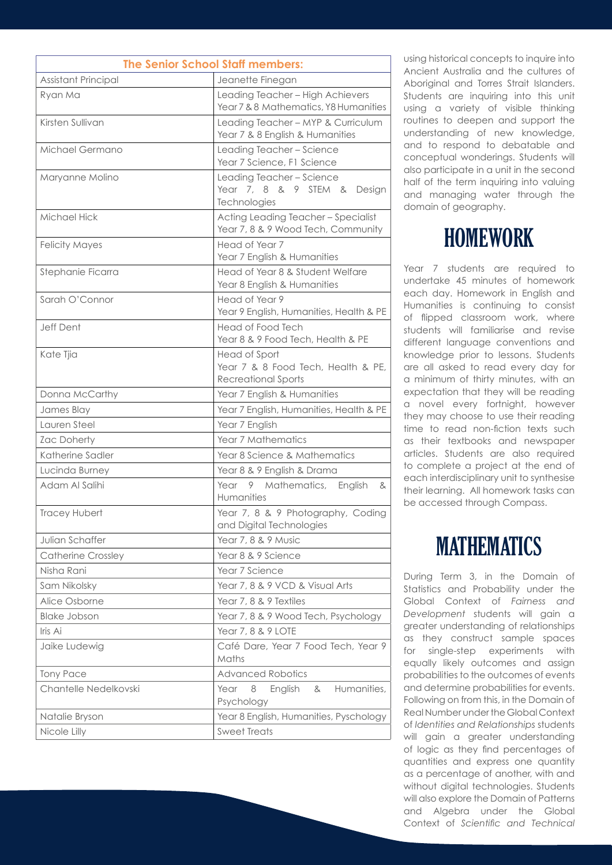| <b>The Senior School Staff members:</b> |                                                                                   |
|-----------------------------------------|-----------------------------------------------------------------------------------|
| Assistant Principal                     | Jeanette Finegan                                                                  |
| Ryan Ma                                 | Leading Teacher - High Achievers<br>Year 7 & 8 Mathematics, Y8 Humanities         |
| Kirsten Sullivan                        | Leading Teacher - MYP & Curriculum<br>Year 7 & 8 English & Humanities             |
| Michael Germano                         | Leading Teacher - Science<br>Year 7 Science, F1 Science                           |
| Maryanne Molino                         | Leading Teacher - Science<br>Year 7, 8 & 9 STEM & Design<br>Technologies          |
| Michael Hick                            | Acting Leading Teacher - Specialist<br>Year 7, 8 & 9 Wood Tech, Community         |
| <b>Felicity Mayes</b>                   | Head of Year 7<br>Year 7 English & Humanities                                     |
| Stephanie Ficarra                       | Head of Year 8 & Student Welfare<br>Year 8 English & Humanities                   |
| Sarah O'Connor                          | Head of Year 9<br>Year 9 English, Humanities, Health & PE                         |
| Jeff Dent                               | Head of Food Tech<br>Year 8 & 9 Food Tech, Health & PE                            |
| Kate Tjia                               | Head of Sport<br>Year 7 & 8 Food Tech, Health & PE,<br><b>Recreational Sports</b> |
| Donna McCarthy                          | Year 7 English & Humanities                                                       |
| James Blay                              | Year 7 English, Humanities, Health & PE                                           |
| Lauren Steel                            | Year 7 English                                                                    |
| Zac Doherty                             | Year 7 Mathematics                                                                |
| Katherine Sadler                        | Year 8 Science & Mathematics                                                      |
| Lucinda Burney                          | Year 8 & 9 English & Drama                                                        |
| Adam Al Salihi                          | Year 9 Mathematics,<br>English<br>&<br>Humanities                                 |
| Tracey Hubert                           | Year 7, 8 & 9 Photography, Coding<br>and Digital Technologies                     |
| Julian Schaffer                         | Year 7, 8 & 9 Music                                                               |
| <b>Catherine Crossley</b>               | Year 8 & 9 Science                                                                |
| Nisha Rani                              | Year 7 Science                                                                    |
| Sam Nikolsky                            | Year 7, 8 & 9 VCD & Visual Arts                                                   |
| Alice Osborne                           | Year 7, 8 & 9 Textiles                                                            |
| <b>Blake Jobson</b>                     | Year 7, 8 & 9 Wood Tech, Psychology                                               |
| Iris Ai                                 | Year 7, 8 & 9 LOTE                                                                |
| Jaike Ludewig                           | Café Dare, Year 7 Food Tech, Year 9<br>Maths                                      |
| <b>Tony Pace</b>                        | <b>Advanced Robotics</b>                                                          |
| Chantelle Nedelkovski                   | Humanities,<br>Year<br>8<br>English<br>&<br>Psychology                            |
| Natalie Bryson                          | Year 8 English, Humanities, Pyschology                                            |
| Nicole Lilly                            | <b>Sweet Treats</b>                                                               |

using historical concepts to inquire into Ancient Australia and the cultures of Aboriginal and Torres Strait Islanders. Students are inquiring into this unit using a variety of visible thinking routines to deepen and support the understanding of new knowledae, and to respond to debatable and conceptual wonderings. Students will also participate in a unit in the second half of the term inquiring into valuing and managing water through the domain of geography.

#### HOMEWORK

Year 7 students are required to undertake 45 minutes of homework each day. Homework in English and Humanities is continuing to consist of flipped classroom work, where students will familiarise and revise different language conventions and knowledge prior to lessons. Students are all asked to read every day for a minimum of thirty minutes, with an expectation that they will be reading a novel every fortnight, however they may choose to use their reading time to read non-fiction texts such as their textbooks and newspaper articles. Students are also required to complete a project at the end of each interdisciplinary unit to synthesise their learning. All homework tasks can be accessed through Compass.

# **MATHEMATICS**

During Term 3, in the Domain of Statistics and Probability under the Global Context of *Fairness and Development* students will gain a greater understanding of relationships as they construct sample spaces for single-step experiments with equally likely outcomes and assign probabilities to the outcomes of events and determine probabilities for events. Following on from this, in the Domain of Real Number under the Global Context of *Identities and Relationships* students will gain a greater understanding of logic as they find percentages of quantities and express one quantity as a percentage of another, with and without digital technologies. Students will also explore the Domain of Patterns and Algebra under the Global Context of *Scientific and Technical*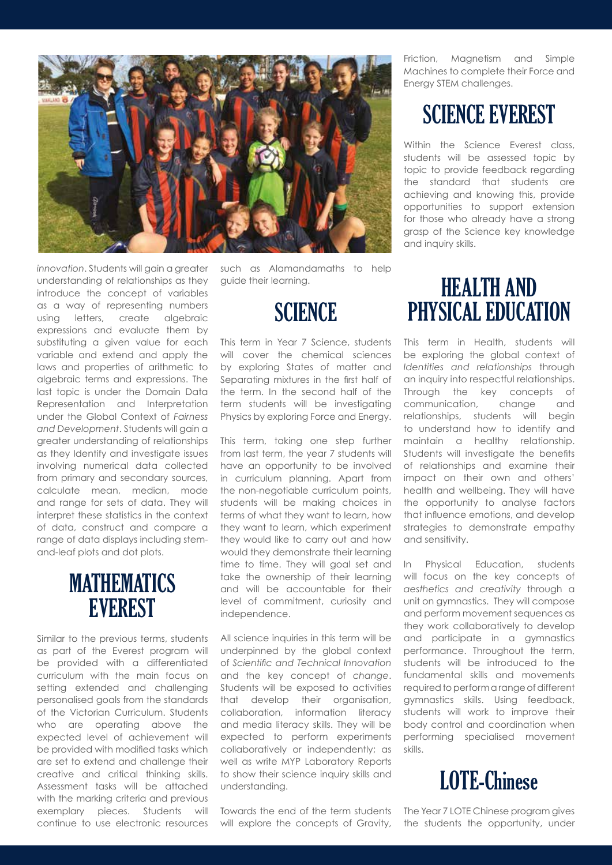

*innovation*. Students will gain a greater understanding of relationships as they introduce the concept of variables as a way of representing numbers using letters, create algebraic expressions and evaluate them by substituting a given value for each variable and extend and apply the laws and properties of arithmetic to algebraic terms and expressions. The last topic is under the Domain Data Representation and Interpretation under the Global Context of *Fairness and Development*. Students will gain a greater understanding of relationships as they Identify and investigate issues involving numerical data collected from primary and secondary sources, calculate mean, median, mode and range for sets of data. They will interpret these statistics in the context of data, construct and compare a range of data displays including stemand-leaf plots and dot plots.

#### **MATHEMATICS EVEREST**

Similar to the previous terms, students as part of the Everest program will be provided with a differentiated curriculum with the main focus on setting extended and challenging personalised goals from the standards of the Victorian Curriculum. Students who are operating above the expected level of achievement will be provided with modified tasks which are set to extend and challenge their creative and critical thinking skills. Assessment tasks will be attached with the marking criteria and previous exemplary pieces. Students will continue to use electronic resources such as Alamandamaths to help guide their learning.

# **SCIENCE**

This term in Year 7 Science, students will cover the chemical sciences by exploring States of matter and Separating mixtures in the first half of the term. In the second half of the term students will be investigating Physics by exploring Force and Energy.

This term, taking one step further from last term, the year 7 students will have an opportunity to be involved in curriculum planning. Apart from the non-negotiable curriculum points, students will be making choices in terms of what they want to learn, how they want to learn, which experiment they would like to carry out and how would they demonstrate their learning time to time. They will goal set and take the ownership of their learning and will be accountable for their level of commitment, curiosity and independence.

All science inquiries in this term will be underpinned by the global context of *Scientific and Technical Innovation*  and the key concept of *change*. Students will be exposed to activities that develop their organisation, collaboration, information literacy and media literacy skills. They will be expected to perform experiments collaboratively or independently; as well as write MYP Laboratory Reports to show their science inquiry skills and understanding.

Towards the end of the term students will explore the concepts of Gravity,

Friction, Magnetism and Simple Machines to complete their Force and Energy STEM challenges.

#### SCIENCE EVEREST

Within the Science Everest class, students will be assessed topic by topic to provide feedback regarding the standard that students are achieving and knowing this, provide opportunities to support extension for those who already have a strong grasp of the Science key knowledge and inquiry skills.

#### HEALTH AND PHYSICAL EDUCATION

This term in Health, students will be exploring the global context of *Identities and relationships* through an inquiry into respectful relationships. Through the key concepts of communication, change and relationships, students will begin to understand how to identify and maintain a healthy relationship. Students will investigate the benefits of relationships and examine their impact on their own and others' health and wellbeing. They will have the opportunity to analyse factors that influence emotions, and develop strategies to demonstrate empathy and sensitivity.

In Physical Education, students will focus on the key concepts of *aesthetics and creativity* through a unit on gymnastics. They will compose and perform movement sequences as they work collaboratively to develop and participate in a gymnastics performance. Throughout the term, students will be introduced to the fundamental skills and movements required to perform a range of different gymnastics skills. Using feedback, students will work to improve their body control and coordination when performing specialised movement skills.



The Year 7 LOTE Chinese program gives the students the opportunity, under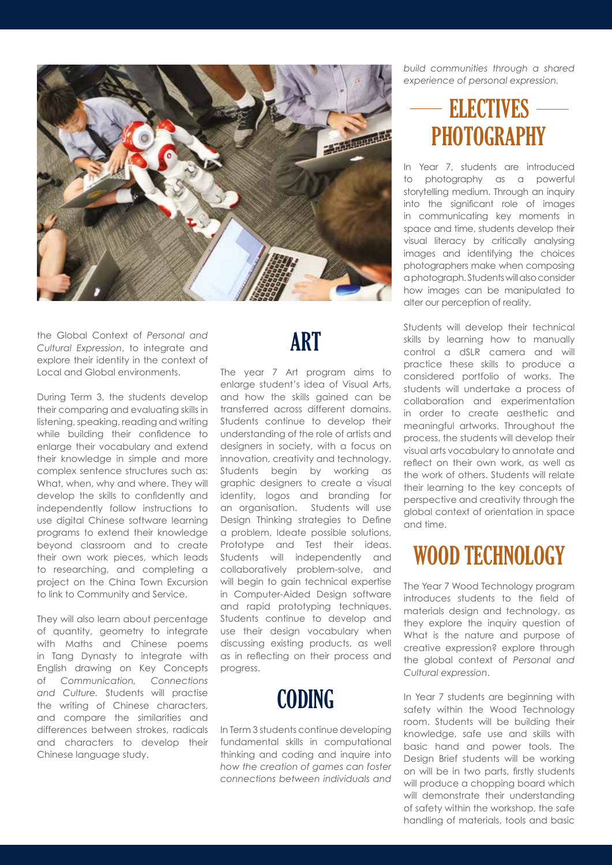

the Global Context of *Personal and Cultural Expression*, to integrate and explore their identity in the context of Local and Global environments.

During Term 3, the students develop their comparing and evaluating skills in listening, speaking, reading and writing while building their confidence to enlarge their vocabulary and extend their knowledge in simple and more complex sentence structures such as: What, when, why and where. They will develop the skills to confidently and independently follow instructions to use digital Chinese software learning programs to extend their knowledge beyond classroom and to create their own work pieces, which leads to researching, and completing a project on the China Town Excursion to link to Community and Service.

They will also learn about percentage of quantity, geometry to integrate with Maths and Chinese poems in Tang Dynasty to integrate with English drawing on Key Concepts of *Communication, Connections and Culture.* Students will practise the writing of Chinese characters, and compare the similarities and differences between strokes, radicals and characters to develop their Chinese language study.

# ART

The year 7 Art program aims to enlarge student's idea of Visual Arts, and how the skills gained can be transferred across different domains. Students continue to develop their understanding of the role of artists and designers in society, with a focus on innovation, creativity and technology. Students begin by working as graphic designers to create a visual identity, logos and branding for an organisation. Students will use Design Thinking strategies to Define a problem, Ideate possible solutions, Prototype and Test their ideas. Students will independently and collaboratively problem-solve, and will begin to gain technical expertise in Computer-Aided Design software and rapid prototyping techniques. Students continue to develop and use their design vocabulary when discussing existing products, as well as in reflecting on their process and progress.

# **CODING**

In Term 3 students continue developing fundamental skills in computational thinking and coding and inquire into *how the creation of games can foster connections between individuals and*  *build communities through a shared experience of personal expression.*

#### ELECTIVES ELECTIVES**PHOTOGRAPHY**

In Year 7, students are introduced to photography as a powerful storytelling medium. Through an inquiry into the significant role of images in communicating key moments in space and time, students develop their visual literacy by critically analysing images and identifying the choices photographers make when composing a photograph. Students will also consider how images can be manipulated to alter our perception of reality.

Students will develop their technical skills by learning how to manually control a dSLR camera and will practice these skills to produce a considered portfolio of works. The students will undertake a process of collaboration and experimentation in order to create aesthetic and meaningful artworks. Throughout the process, the students will develop their visual arts vocabulary to annotate and reflect on their own work, as well as the work of others. Students will relate their learning to the key concepts of perspective and creativity through the global context of orientation in space and time.

# WOOD TECHNOLOGY

The Year 7 Wood Technology program introduces students to the field of materials design and technology, as they explore the inquiry question of What is the nature and purpose of creative expression? explore through the global context of *Personal and Cultural expression*.

In Year 7 students are beginning with safety within the Wood Technology room. Students will be building their knowledge, safe use and skills with basic hand and power tools. The Design Brief students will be working on will be in two parts, firstly students will produce a chopping board which will demonstrate their understanding of safety within the workshop, the safe handling of materials, tools and basic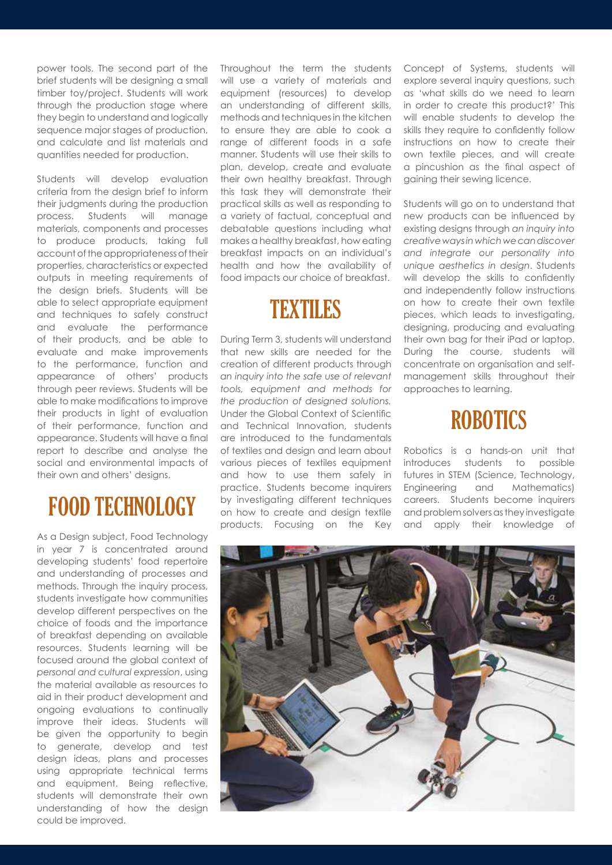power tools. The second part of the brief students will be designing a small timber toy/project. Students will work through the production stage where they begin to understand and logically sequence major stages of production, and calculate and list materials and quantities needed for production.

Students will develop evaluation criteria from the design brief to inform their judgments during the production process. Students will manage materials, components and processes to produce products, taking full account of the appropriateness of their properties, characteristics or expected outputs in meeting requirements of the design briefs. Students will be able to select appropriate equipment and techniques to safely construct and evaluate the performance of their products, and be able to evaluate and make improvements to the performance, function and appearance of others' products through peer reviews. Students will be able to make modifications to improve their products in light of evaluation of their performance, function and appearance. Students will have a final report to describe and analyse the social and environmental impacts of their own and others' designs.

# FOOD TECHNOLOGY

As a Design subject, Food Technology in year 7 is concentrated around developing students' food repertoire and understanding of processes and methods. Through the inquiry process, students investigate how communities develop different perspectives on the choice of foods and the importance of breakfast depending on available resources. Students learning will be focused around the global context of *personal and cultural expression*, using the material available as resources to aid in their product development and ongoing evaluations to continually improve their ideas. Students will be given the opportunity to begin to generate, develop and test design ideas, plans and processes using appropriate technical terms and equipment. Being reflective, students will demonstrate their own understanding of how the design could be improved.

Throughout the term the students will use a variety of materials and equipment (resources) to develop an understanding of different skills, methods and techniques in the kitchen to ensure they are able to cook a range of different foods in a safe manner. Students will use their skills to plan, develop, create and evaluate their own healthy breakfast. Through this task they will demonstrate their practical skills as well as responding to a variety of factual, conceptual and debatable questions including what makes a healthy breakfast, how eating breakfast impacts on an individual's health and how the availability of food impacts our choice of breakfast.



During Term 3, students will understand that new skills are needed for the creation of different products through *an inquiry into the safe use of relevant tools, equipment and methods for the production of designed solutions.*  Under the Global Context of Scientific and Technical Innovation, students are introduced to the fundamentals of textiles and design and learn about various pieces of textiles equipment and how to use them safely in practice. Students become inquirers by investigating different techniques on how to create and design textile products. Focusing on the Key Concept of Systems, students will explore several inquiry questions, such as 'what skills do we need to learn in order to create this product?' This will enable students to develop the skills they require to confidently follow instructions on how to create their own textile pieces, and will create a pincushion as the final aspect of gaining their sewing licence.

Students will go on to understand that new products can be influenced by existing designs through *an inquiry into creative ways in which we can discover and integrate our personality into unique aesthetics in design*. Students will develop the skills to confidently and independently follow instructions on how to create their own textile pieces, which leads to investigating, designing, producing and evaluating their own bag for their iPad or laptop. During the course, students will concentrate on organisation and selfmanagement skills throughout their approaches to learning.

#### **ROBOTICS**

Robotics is a hands-on unit that introduces students to possible futures in STEM (Science, Technology, Engineering and Mathematics) careers. Students become inquirers and problem solvers as they investigate and apply their knowledge of

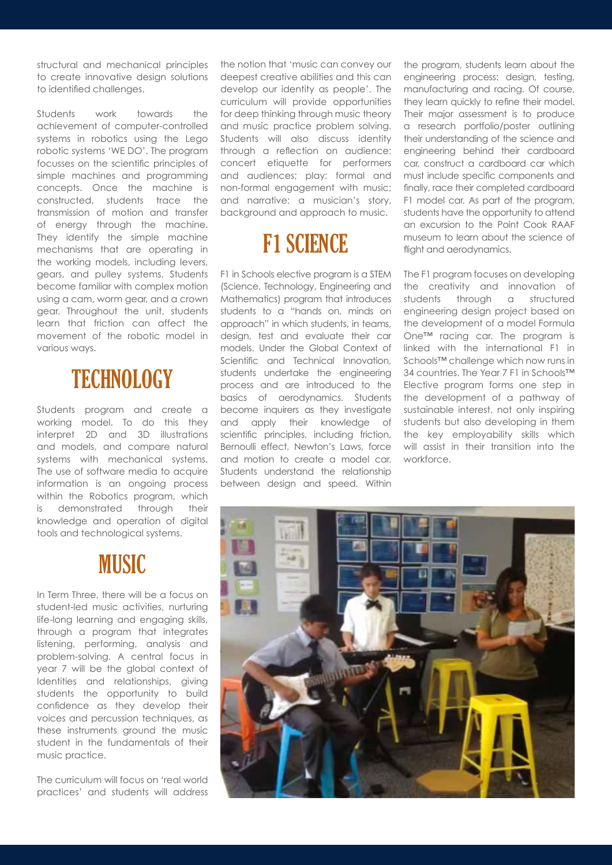structural and mechanical principles to create innovative design solutions to identified challenges.

Students work towards the achievement of computer-controlled systems in robotics using the Lego robotic systems 'WE DO'. The program focusses on the scientific principles of simple machines and programming concepts. Once the machine is constructed, students trace the transmission of motion and transfer of energy through the machine. They identify the simple machine mechanisms that are operating in the working models, including levers, gears, and pulley systems. Students become familiar with complex motion using a cam, worm gear, and a crown gear. Throughout the unit, students learn that friction can affect the movement of the robotic model in various ways.

# **TECHNOLOGY**

Students program and create a working model. To do this they interpret 2D and 3D illustrations and models, and compare natural systems with mechanical systems. The use of software media to acquire information is an ongoing process within the Robotics program, which is demonstrated through their knowledge and operation of digital tools and technological systems.

#### **MUSIC**

In Term Three, there will be a focus on student-led music activities, nurturing life-long learning and engaging skills, through a program that integrates listening, performing, analysis and problem-solving. A central focus in year 7 will be the global context of Identities and relationships, giving students the opportunity to build confidence as they develop their voices and percussion techniques, as these instruments ground the music student in the fundamentals of their music practice.

The curriculum will focus on 'real world practices' and students will address the notion that 'music can convey our deepest creative abilities and this can develop our identity as people'. The curriculum will provide opportunities for deep thinking through music theory and music practice problem solving. Students will also discuss identity through a reflection on audience: concert etiquette for performers and audiences; play: formal and non-formal engagement with music; and narrative: a musician's story, background and approach to music.

# F1 SCIENCE

F1 in Schools elective program is a STEM (Science, Technology, Engineering and Mathematics) program that introduces students to a "hands on, minds on approach" in which students, in teams, design, test and evaluate their car models. Under the Global Context of Scientific and Technical Innovation, students undertake the engineering process and are introduced to the basics of aerodynamics. Students become inquirers as they investigate and apply their knowledge of scientific principles, including friction, Bernoulli effect, Newton's Laws, force and motion to create a model car. Students understand the relationship between design and speed. Within the program, students learn about the engineering process: design, testing, manufacturing and racing. Of course, they learn quickly to refine their model. Their major assessment is to produce a research portfolio/poster outlining their understanding of the science and engineering behind their cardboard car, construct a cardboard car which must include specific components and finally, race their completed cardboard F1 model car. As part of the program, students have the opportunity to attend an excursion to the Point Cook RAAF museum to learn about the science of flight and aerodynamics.

The F1 program focuses on developing the creativity and innovation of students through a structured engineering design project based on the development of a model Formula One™ racing car. The program is linked with the international F1 in Schools™ challenge which now runs in 34 countries. The Year 7 F1 in Schools™ Elective program forms one step in the development of a pathway of sustainable interest, not only inspiring students but also developing in them the key employability skills which will assist in their transition into the workforce.

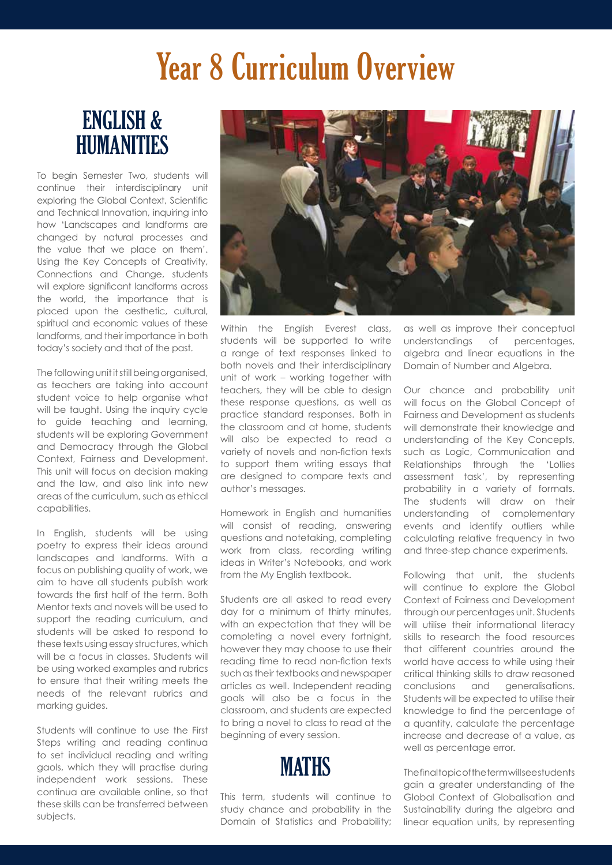# Year 8 Curriculum Overview

#### ENGLISH & HUMANITIES

To begin Semester Two, students will continue their interdisciplinary unit exploring the Global Context, Scientific and Technical Innovation, inquiring into how 'Landscapes and landforms are changed by natural processes and the value that we place on them'. Using the Key Concepts of Creativity, Connections and Change, students will explore significant landforms across the world, the importance that is placed upon the aesthetic, cultural, spiritual and economic values of these landforms, and their importance in both today's society and that of the past.

The following unit it still being organised, as teachers are taking into account student voice to help organise what will be taught. Using the inquiry cycle to guide teaching and learning, students will be exploring Government and Democracy through the Global Context, Fairness and Development. This unit will focus on decision making and the law, and also link into new areas of the curriculum, such as ethical capabilities.

In English, students will be using poetry to express their ideas around landscapes and landforms. With a focus on publishing quality of work, we aim to have all students publish work towards the first half of the term. Both Mentor texts and novels will be used to support the reading curriculum, and students will be asked to respond to these texts using essay structures, which will be a focus in classes. Students will be using worked examples and rubrics to ensure that their writing meets the needs of the relevant rubrics and marking guides.

Students will continue to use the First Steps writing and reading continual to set individual reading and writing gaols, which they will practise during independent work sessions. These continua are available online, so that these skills can be transferred between subjects.



Within the English Everest class, students will be supported to write a range of text responses linked to both novels and their interdisciplinary unit of work – working together with teachers, they will be able to design these response questions, as well as practice standard responses. Both in the classroom and at home, students will also be expected to read a variety of novels and non-fiction texts to support them writing essays that are designed to compare texts and author's messages.

Homework in English and humanities will consist of reading, answering questions and notetaking, completing work from class, recording writing ideas in Writer's Notebooks, and work from the My English textbook.

Students are all asked to read every day for a minimum of thirty minutes, with an expectation that they will be completing a novel every fortnight, however they may choose to use their reading time to read non-fiction texts such as their textbooks and newspaper articles as well. Independent reading goals will also be a focus in the classroom, and students are expected to bring a novel to class to read at the beginning of every session.

**MATHS** 

This term, students will continue to study chance and probability in the Domain of Statistics and Probability;

as well as improve their conceptual understandings of percentages, algebra and linear equations in the Domain of Number and Algebra.

Our chance and probability unit will focus on the Global Concept of Fairness and Development as students will demonstrate their knowledge and understanding of the Key Concepts, such as Logic, Communication and Relationships through the 'Lollies assessment task', by representing probability in a variety of formats. The students will draw on their understanding of complementary events and identify outliers while calculating relative frequency in two and three-step chance experiments.

Following that unit, the students will continue to explore the Global Context of Fairness and Development through our percentages unit. Students will utilise their informational literacy skills to research the food resources that different countries around the world have access to while using their critical thinking skills to draw reasoned conclusions and generalisations. Students will be expected to utilise their knowledge to find the percentage of a quantity, calculate the percentage increase and decrease of a value, as well as percentage error.

The final topic of the term will see students gain a greater understanding of the Global Context of Globalisation and Sustainability during the algebra and linear equation units, by representing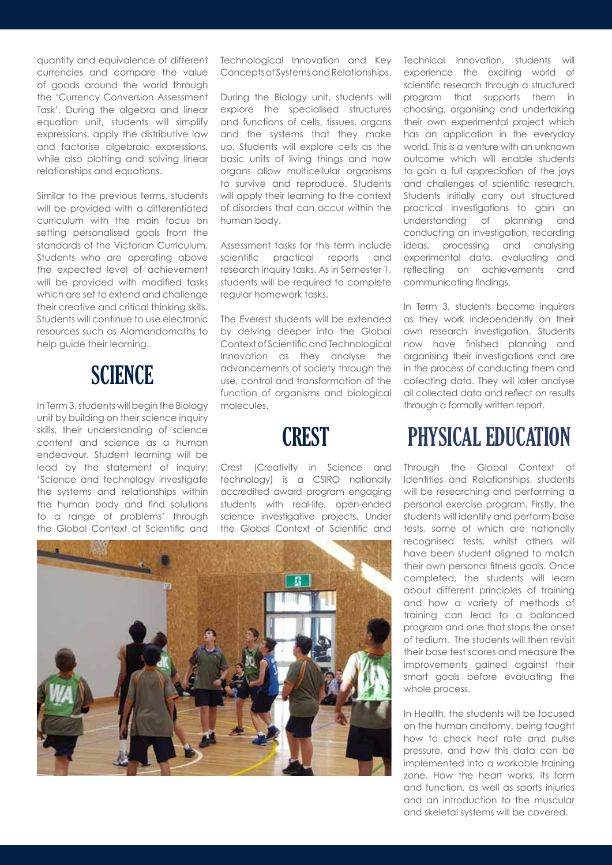quantity and equivalence of different currencies and compare the value of goods around the world through the 'Currency Conversion Assessment Task'. During the algebra and linear equation unit, students will simplify expressions, apply the distributive law and factorise algebraic expressions, while also plotting and solving linear relationships and equations.

Similar to the previous terms, students will be provided with a differentiated curriculum with the main focus on setting personalised goals from the standards of the Victorian Curriculum. Students who are operating above the expected level of achievement will be provided with modified tasks which are set to extend and challenge their creative and critical thinking skills. Students will continue to use electronic resources such as Alamandamaths to help guide their learning.

#### **SCIENCE**

In Term 3, students will begin the Biology unit by building on their science inquiry skills, their understanding of science content and science as a human endeavour. Student learning will be lead by the statement of inquiry: 'Science and technology investigate the systems and relationships within the human body and find solutions to a range of problems' through the Global Context of Scientific and

Technological Innovation and Key Concepts of Systems and Relationships.

During the Biology unit, students will explore the specialised structures and functions of cells, tissues, organs and the systems that they make up. Students will explore cells as the basic units of living things and how organs allow multicellular organisms to survive and reproduce. Students will apply their learning to the context of disorders that can occur within the human body.

Assessment tasks for this term include scientific practical reports and research inquiry tasks. As in Semester 1, students will be required to complete regular homework tasks.

The Everest students will be extended by delving deeper into the Global Context of Scientific and Technological Innovation as they analyse the advancements of society through the use, control and transformation of the function of organisms and biological molecules.



Crest (Creativity in Science and technology) is a CSIRO nationally accredited award program engaging students with real-life, open-ended science investigative projects. Under the Global Context of Scientific and Technical Innovation, students will experience the exciting world of scientific research through a structured program that supports them in choosing, organising and undertaking their own experimental project which has an application in the everyday world. This is a venture with an unknown outcome which will enable students to gain a full appreciation of the joys and challenges of scientific research. Students initially carry out structured practical investigations to gain an understanding of planning and conducting an investigation, recording ideas, processing and analysing experimental data, evaluating and reflecting on achievements and communicating findings.

In Term 3, students become inquirers as they work independently on their own research investigation. Students now have finished planning and organising their investigations and are in the process of conducting them and collecting data. They will later analyse all collected data and reflect on results through a formally written report.

# PHYSICAL EDUCATION

Through the Global Context of Identities and Relationships, students will be researching and performing a personal exercise program. Firstly, the students will identify and perform base tests, some of which are nationally recognised tests, whilst others will have been student aligned to match their own personal fitness goals. Once completed, the students will learn about different principles of training and how a variety of methods of training can lead to a balanced program and one that stops the onset of tedium. The students will then revisit their base test scores and measure the improvements gained against their smart goals before evaluating the whole process.

In Health, the students will be focused on the human anatomy, being taught how to check heat rate and pulse pressure, and how this data can be implemented into a workable training zone. How the heart works, its form and function, as well as sports injuries and an introduction to the muscular and skeletal systems will be covered.

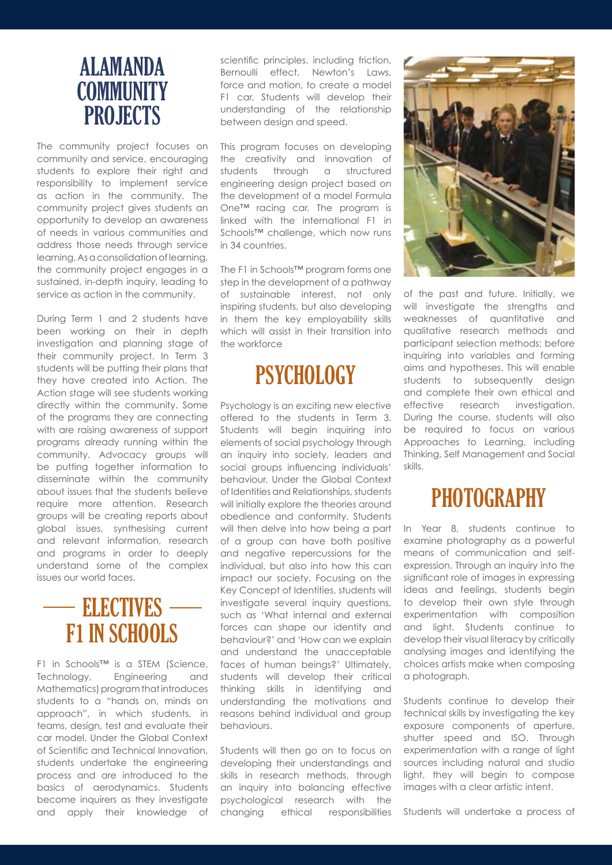#### ALAMANDA **COMMUNITY** PROJECTS

The community project focuses on community and service, encouraging students to explore their right and responsibility to implement service as action in the community. The community project gives students an opportunity to develop an awareness of needs in various communities and address those needs through service learning. As a consolidation of learning, the community project engages in a sustained, in-depth inquiry, leading to service as action in the community.

During Term 1 and 2 students have been working on their in depth investigation and planning stage of their community project. In Term 3 students will be putting their plans that they have created into Action. The Action stage will see students working directly within the community. Some of the programs they are connecting with are raising awareness of support programs already running within the community. Advocacy groups will be putting together information to disseminate within the community about issues that the students believe require more attention. Research groups will be creating reports about global issues, synthesising current and relevant information, research and programs in order to deeply understand some of the complex issues our world faces.

# F1 IN SCHOOLS **ELECTIVES**

F1 in Schools™ is a STEM (Science, Technology, Engineering and Mathematics) program that introduces students to a "hands on, minds on approach", in which students, in teams, design, test and evaluate their car model. Under the Global Context of Scientific and Technical Innovation, students undertake the engineering process and are introduced to the basics of aerodynamics. Students become inquirers as they investigate and apply their knowledge of

scientific principles, including friction, Bernoulli effect, Newton's Laws, force and motion, to create a model F1 car. Students will develop their understanding of the relationship between design and speed.

This program focuses on developing the creativity and innovation of students through a structured engineering design project based on the development of a model Formula One™ racing car. The program is linked with the international F1 in Schools™ challenge, which now runs in 34 countries.

The F1 in Schools™ program forms one step in the development of a pathway of sustainable interest, not only inspiring students, but also developing in them the key employability skills which will assist in their transition into the workforce

# **PSYCHOLOGY**

Psychology is an exciting new elective offered to the students in Term 3. Students will begin inquiring into elements of social psychology through an inquiry into society, leaders and social groups influencing individuals' behaviour. Under the Global Context of Identities and Relationships, students will initially explore the theories around obedience and conformity. Students will then delve into how being a part of a group can have both positive and negative repercussions for the individual, but also into how this can impact our society. Focusing on the Key Concept of Identities, students will investigate several inquiry questions, such as 'What internal and external forces can shape our identity and behaviour?' and 'How can we explain and understand the unacceptable faces of human beings?' Ultimately, students will develop their critical thinking skills in identifying and understanding the motivations and reasons behind individual and group behaviours.

Students will then go on to focus on developing their understandings and skills in research methods, through an inquiry into balancing effective psychological research with the changing ethical responsibilities



of the past and future. Initially, we will investigate the strengths and weaknesses of quantitative and qualitative research methods and participant selection methods; before inquiring into variables and forming aims and hypotheses. This will enable students to subsequently design and complete their own ethical and effective research investigation. During the course, students will also be required to focus on various Approaches to Learning, including Thinking, Self Management and Social skills.

# **PHOTOGRAPHY**

In Year 8, students continue to examine photography as a powerful means of communication and selfexpression. Through an inquiry into the significant role of images in expressing ideas and feelings, students begin to develop their own style through experimentation with composition and light. Students continue to develop their visual literacy by critically analysing images and identifying the choices artists make when composing a photograph.

Students continue to develop their technical skills by investigating the key exposure components of aperture, shutter speed and ISO. Through experimentation with a range of light sources including natural and studio light, they will begin to compose images with a clear artistic intent.

Students will undertake a process of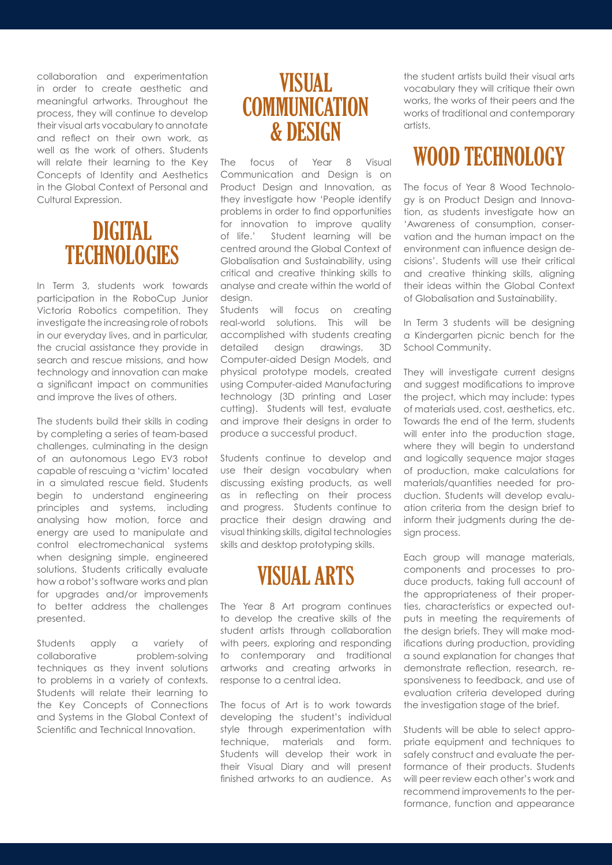collaboration and experimentation in order to create aesthetic and meaningful artworks. Throughout the process, they will continue to develop their visual arts vocabulary to annotate and reflect on their own work, as well as the work of others. Students will relate their learning to the Key Concepts of Identity and Aesthetics in the Global Context of Personal and Cultural Expression.

#### DIGITAL **TECHNOLOGIES**

In Term 3, students work towards participation in the RoboCup Junior Victoria Robotics competition. They investigate the increasing role of robots in our everyday lives, and in particular, the crucial assistance they provide in search and rescue missions, and how technology and innovation can make a significant impact on communities and improve the lives of others.

The students build their skills in coding by completing a series of team-based challenges, culminating in the design of an autonomous Lego EV3 robot capable of rescuing a 'victim' located in a simulated rescue field. Students begin to understand engineering principles and systems, including analysing how motion, force and energy are used to manipulate and control electromechanical systems when designing simple, engineered solutions. Students critically evaluate how a robot's software works and plan for upgrades and/or improvements to better address the challenges presented.

Students apply a variety of collaborative problem-solving techniques as they invent solutions to problems in a variety of contexts. Students will relate their learning to the Key Concepts of Connections and Systems in the Global Context of Scientific and Technical Innovation.

#### VISUAL **COMMUNICATION** & DESIGN

The focus of Year 8 Visual Communication and Design is on Product Design and Innovation, as they investigate how 'People identify problems in order to find opportunities for innovation to improve quality of life.' Student learning will be centred around the Global Context of Globalisation and Sustainability, using critical and creative thinking skills to analyse and create within the world of design.

Students will focus on creating real-world solutions. This will be accomplished with students creating detailed design drawings, 3D Computer-aided Design Models, and physical prototype models, created using Computer-aided Manufacturing technology (3D printing and Laser cutting). Students will test, evaluate and improve their designs in order to produce a successful product.

Students continue to develop and use their design vocabulary when discussing existing products, as well as in reflecting on their process and progress. Students continue to practice their design drawing and visual thinking skills, digital technologies skills and desktop prototyping skills.

# VISUAL ARTS

The Year 8 Art program continues to develop the creative skills of the student artists through collaboration with peers, exploring and responding to contemporary and traditional artworks and creating artworks in response to a central idea.

The focus of Art is to work towards developing the student's individual style through experimentation with technique, materials and form. Students will develop their work in their Visual Diary and will present finished artworks to an audience. As

the student artists build their visual arts vocabulary they will critique their own works, the works of their peers and the works of traditional and contemporary artists.

# WOOD TECHNOLOGY

The focus of Year 8 Wood Technology is on Product Design and Innovation, as students investigate how an 'Awareness of consumption, conservation and the human impact on the environment can influence design decisions'. Students will use their critical and creative thinking skills, aligning their ideas within the Global Context of Globalisation and Sustainability.

In Term 3 students will be designing a Kindergarten picnic bench for the School Community.

They will investigate current designs and suggest modifications to improve the project, which may include: types of materials used, cost, aesthetics, etc. Towards the end of the term, students will enter into the production stage, where they will begin to understand and logically sequence major stages of production, make calculations for materials/quantities needed for production. Students will develop evaluation criteria from the design brief to inform their judgments during the design process.

Each group will manage materials, components and processes to produce products, taking full account of the appropriateness of their properties, characteristics or expected outputs in meeting the requirements of the design briefs. They will make modifications during production, providing a sound explanation for changes that demonstrate reflection, research, responsiveness to feedback, and use of evaluation criteria developed during the investigation stage of the brief.

Students will be able to select appropriate equipment and techniques to safely construct and evaluate the performance of their products. Students will peer review each other's work and recommend improvements to the performance, function and appearance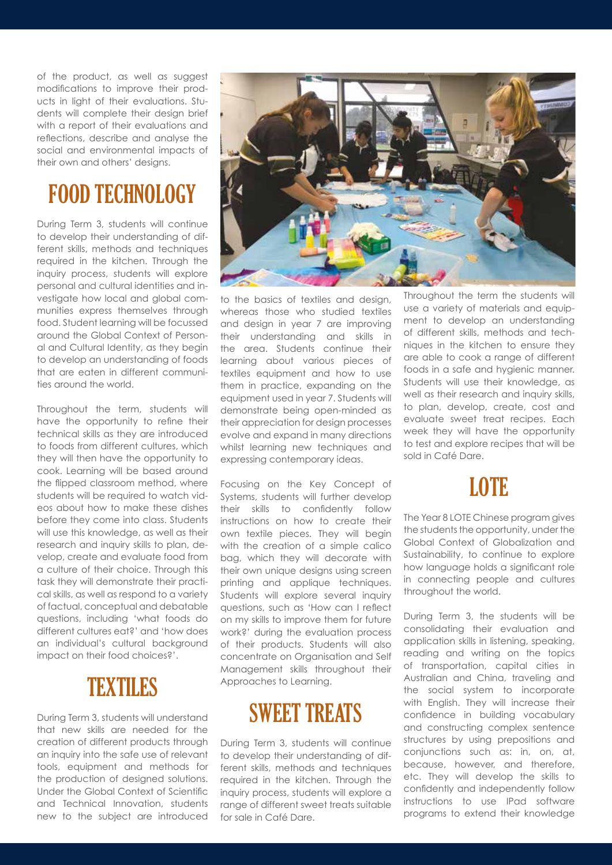of the product, as well as suggest modifications to improve their products in light of their evaluations. Students will complete their design brief with a report of their evaluations and reflections, describe and analyse the social and environmental impacts of their own and others' designs.

# FOOD TECHNOLOGY

During Term 3, students will continue to develop their understanding of different skills, methods and techniques required in the kitchen. Through the inquiry process, students will explore personal and cultural identities and investigate how local and global communities express themselves through food. Student learning will be focussed around the Global Context of Personal and Cultural Identity, as they begin to develop an understanding of foods that are eaten in different communities around the world.

Throughout the term, students will have the opportunity to refine their technical skills as they are introduced to foods from different cultures, which they will then have the opportunity to cook. Learning will be based around the flipped classroom method, where students will be required to watch videos about how to make these dishes before they come into class. Students will use this knowledge, as well as their research and inquiry skills to plan, develop, create and evaluate food from a culture of their choice. Through this task they will demonstrate their practical skills, as well as respond to a variety of factual, conceptual and debatable questions, including 'what foods do different cultures eat?' and 'how does an individual's cultural background impact on their food choices?'.

#### TEXTILES

During Term 3, students will understand that new skills are needed for the creation of different products through an inquiry into the safe use of relevant tools, equipment and methods for the production of designed solutions. Under the Global Context of Scientific and Technical Innovation, students new to the subject are introduced



to the basics of textiles and design, whereas those who studied textiles and design in year 7 are improving their understanding and skills in the area. Students continue their learning about various pieces of textiles equipment and how to use them in practice, expanding on the equipment used in year 7. Students will demonstrate being open-minded as their appreciation for design processes evolve and expand in many directions whilst learning new techniques and expressing contemporary ideas.

Focusing on the Key Concept of Systems, students will further develop their skills to confidently follow instructions on how to create their own textile pieces. They will begin with the creation of a simple calico bag, which they will decorate with their own unique designs using screen printing and applique techniques. Students will explore several inquiry questions, such as 'How can I reflect on my skills to improve them for future work?' during the evaluation process of their products. Students will also concentrate on Organisation and Self Management skills throughout their Approaches to Learning.

# SWEET TREATS

During Term 3, students will continue to develop their understanding of different skills, methods and techniques required in the kitchen. Through the inquiry process, students will explore a range of different sweet treats suitable for sale in Café Dare.

Throughout the term the students will use a variety of materials and equipment to develop an understanding of different skills, methods and techniques in the kitchen to ensure they are able to cook a range of different foods in a safe and hygienic manner. Students will use their knowledge, as well as their research and inquiry skills, to plan, develop, create, cost and evaluate sweet treat recipes. Each week they will have the opportunity to test and explore recipes that will be sold in Café Dare.

#### **LOTE**

The Year 8 LOTE Chinese program gives the students the opportunity, under the Global Context of Globalization and Sustainability, to continue to explore how language holds a significant role in connecting people and cultures throughout the world.

During Term 3, the students will be consolidating their evaluation and application skills in listening, speaking, reading and writing on the topics of transportation, capital cities in Australian and China, traveling and the social system to incorporate with English. They will increase their confidence in building vocabulary and constructing complex sentence structures by using prepositions and conjunctions such as: in, on, at, because, however, and therefore, etc. They will develop the skills to confidently and independently follow instructions to use IPad software programs to extend their knowledge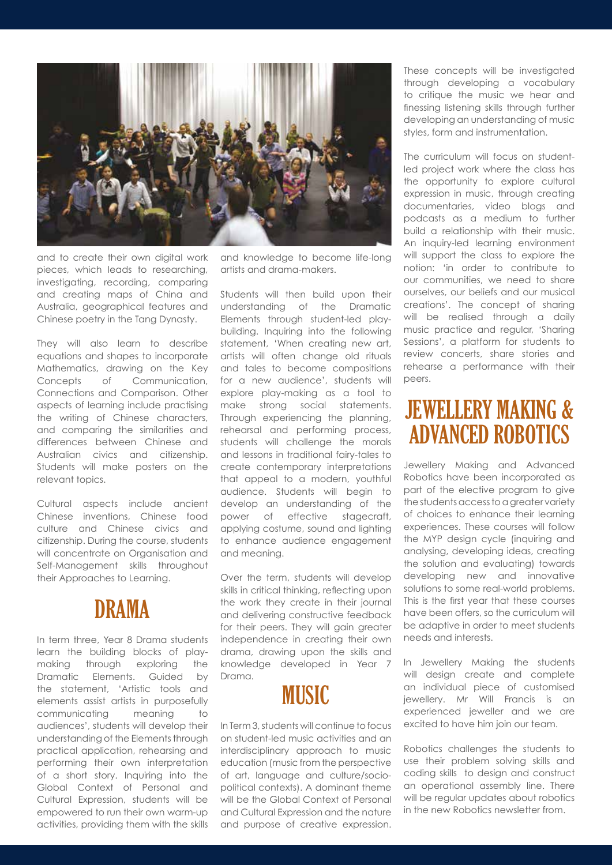

and to create their own digital work pieces, which leads to researching, investigating, recording, comparing and creating maps of China and Australia, geographical features and Chinese poetry in the Tang Dynasty.

They will also learn to describe equations and shapes to incorporate Mathematics, drawing on the Key Concepts of Communication, Connections and Comparison. Other aspects of learning include practising the writing of Chinese characters, and comparing the similarities and differences between Chinese and Australian civics and citizenship. Students will make posters on the relevant topics.

Cultural aspects include ancient Chinese inventions, Chinese food culture and Chinese civics and citizenship. During the course, students will concentrate on Organisation and Self-Management skills throughout their Approaches to Learning.

#### DRAMA

In term three, Year 8 Drama students learn the building blocks of playmaking through exploring the Dramatic Elements. Guided by the statement, 'Artistic tools and elements assist artists in purposefully communicating meaning to audiences', students will develop their understanding of the Elements through practical application, rehearsing and performing their own interpretation of a short story. Inquiring into the Global Context of Personal and Cultural Expression, students will be empowered to run their own warm-up activities, providing them with the skills

and knowledge to become life-long artists and drama-makers.

Students will then build upon their understanding of the Dramatic Elements through student-led playbuilding. Inquiring into the following statement, 'When creating new art, artists will often change old rituals and tales to become compositions for a new audience', students will explore play-making as a tool to make strong social statements. Through experiencing the planning, rehearsal and performing process, students will challenge the morals and lessons in traditional fairy-tales to create contemporary interpretations that appeal to a modern, youthful audience. Students will begin to develop an understanding of the power of effective stagecraft, applying costume, sound and lighting to enhance audience engagement and meaning.

Over the term, students will develop skills in critical thinking, reflecting upon the work they create in their journal and delivering constructive feedback for their peers. They will gain greater independence in creating their own drama, drawing upon the skills and knowledge developed in Year 7 Drama.



In Term 3, students will continue to focus on student-led music activities and an interdisciplinary approach to music education (music from the perspective of art, language and culture/sociopolitical contexts). A dominant theme will be the Global Context of Personal and Cultural Expression and the nature and purpose of creative expression.

These concepts will be investigated through developing a vocabulary to critique the music we hear and finessing listening skills through further developing an understanding of music styles, form and instrumentation.

The curriculum will focus on studentled project work where the class has the opportunity to explore cultural expression in music, through creating documentaries, video blogs and podcasts as a medium to further build a relationship with their music. An inquiry-led learning environment will support the class to explore the notion: 'in order to contribute to our communities, we need to share ourselves, our beliefs and our musical creations'. The concept of sharing will be realised through a daily music practice and regular, 'Sharing Sessions', a platform for students to review concerts, share stories and rehearse a performance with their peers.

#### JEWELLERY MAKING & ADVANCED ROBOTICS

Jewellery Making and Advanced Robotics have been incorporated as part of the elective program to give the students access to a greater variety of choices to enhance their learning experiences. These courses will follow the MYP design cycle (inquiring and analysing, developing ideas, creating the solution and evaluating) towards developing new and innovative solutions to some real-world problems. This is the first year that these courses have been offers, so the curriculum will be adaptive in order to meet students needs and interests.

In Jewellery Making the students will design create and complete an individual piece of customised jewellery. Mr Will Francis is an experienced jeweller and we are excited to have him join our team.

Robotics challenges the students to use their problem solving skills and coding skills to design and construct an operational assembly line. There will be regular updates about robotics in the new Robotics newsletter from.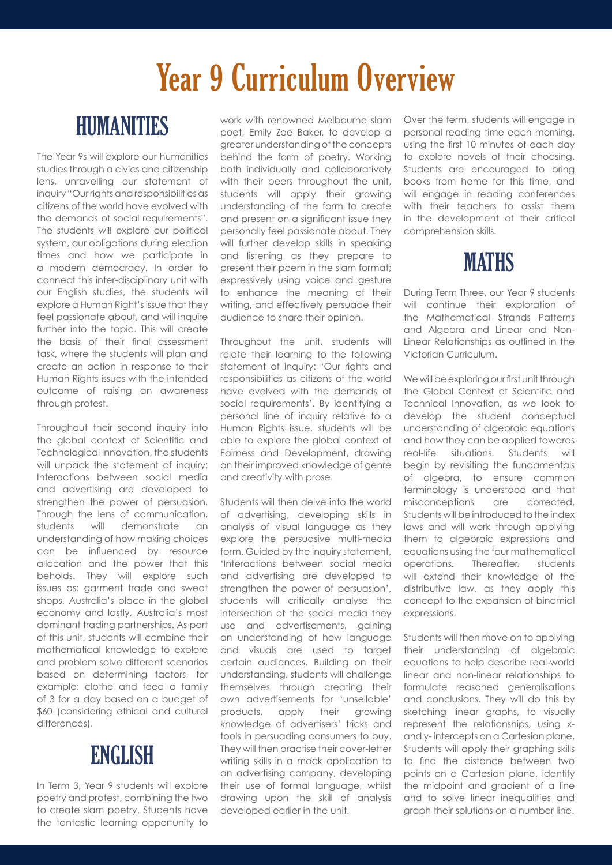# Year 9 Curriculum Overview

# HUMANITIES

The Year 9s will explore our humanities studies through a civics and citizenship lens, unravelling our statement of inquiry "Our rights and responsibilities as citizens of the world have evolved with the demands of social requirements". The students will explore our political system, our obligations during election times and how we participate in a modern democracy. In order to connect this inter-disciplinary unit with our English studies, the students will explore a Human Right's issue that they feel passionate about, and will inquire further into the topic. This will create the basis of their final assessment task, where the students will plan and create an action in response to their Human Rights issues with the intended outcome of raising an awareness through protest.

Throughout their second inquiry into the global context of Scientific and Technological Innovation, the students will unpack the statement of inquiry: Interactions between social media and advertising are developed to strengthen the power of persuasion. Through the lens of communication, students will demonstrate an understanding of how making choices can be influenced by resource allocation and the power that this beholds. They will explore such issues as: garment trade and sweat shops, Australia's place in the global economy and lastly, Australia's most dominant trading partnerships. As part of this unit, students will combine their mathematical knowledge to explore and problem solve different scenarios based on determining factors, for example: clothe and feed a family of 3 for a day based on a budget of \$60 (considering ethical and cultural differences).

#### **ENGLISH**

In Term 3, Year 9 students will explore poetry and protest, combining the two to create slam poetry. Students have the fantastic learning opportunity to

work with renowned Melbourne slam poet, Emily Zoe Baker, to develop a greater understanding of the concepts behind the form of poetry. Working both individually and collaboratively with their peers throughout the unit, students will apply their growing understanding of the form to create and present on a significant issue they personally feel passionate about. They will further develop skills in speaking and listening as they prepare to present their poem in the slam format; expressively using voice and gesture to enhance the meaning of their writing, and effectively persuade their audience to share their opinion.

Throughout the unit, students will relate their learning to the following statement of inquiry: 'Our rights and responsibilities as citizens of the world have evolved with the demands of social requirements'. By identifying a personal line of inquiry relative to a Human Rights issue, students will be able to explore the global context of Fairness and Development, drawing on their improved knowledge of genre and creativity with prose.

Students will then delve into the world of advertising, developing skills in analysis of visual language as they explore the persuasive multi-media form. Guided by the inquiry statement, 'Interactions between social media and advertising are developed to strengthen the power of persuasion', students will critically analyse the intersection of the social media they use and advertisements, gaining an understanding of how language and visuals are used to target certain audiences. Building on their understanding, students will challenge themselves through creating their own advertisements for 'unsellable' products, apply their growing knowledge of advertisers' tricks and tools in persuading consumers to buy. They will then practise their cover-letter writing skills in a mock application to an advertising company, developing their use of formal language, whilst drawing upon the skill of analysis developed earlier in the unit.

Over the term, students will engage in personal reading time each morning, using the first 10 minutes of each day to explore novels of their choosing. Students are encouraged to bring books from home for this time, and will engage in reading conferences with their teachers to assist them in the development of their critical comprehension skills.



During Term Three, our Year 9 students will continue their exploration of the Mathematical Strands Patterns and Algebra and Linear and Non-Linear Relationships as outlined in the Victorian Curriculum.

We will be exploring our first unit through the Global Context of Scientific and Technical Innovation, as we look to develop the student conceptual understanding of algebraic equations and how they can be applied towards real-life situations. Students will begin by revisiting the fundamentals of algebra, to ensure common terminology is understood and that misconceptions are corrected. Students will be introduced to the index laws and will work through applying them to algebraic expressions and equations using the four mathematical operations. Thereafter, students will extend their knowledge of the distributive law, as they apply this concept to the expansion of binomial expressions.

Students will then move on to applying their understanding of algebraic equations to help describe real-world linear and non-linear relationships to formulate reasoned generalisations and conclusions. They will do this by sketching linear graphs, to visually represent the relationships, using xand y- intercepts on a Cartesian plane. Students will apply their graphing skills to find the distance between two points on a Cartesian plane, identify the midpoint and gradient of a line and to solve linear inequalities and graph their solutions on a number line.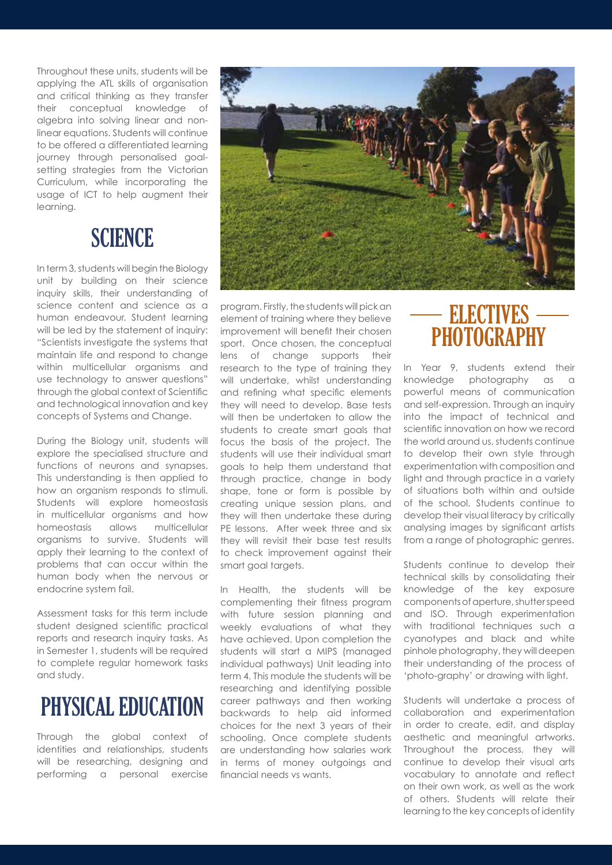Throughout these units, students will be applying the ATL skills of organisation and critical thinking as they transfer their conceptual knowledge of algebra into solving linear and nonlinear equations. Students will continue to be offered a differentiated learning journey through personalised goalsetting strategies from the Victorian Curriculum, while incorporating the usage of ICT to help augment their learning.

#### **SCIENCE**

In term 3, students will begin the Biology unit by building on their science inquiry skills, their understanding of science content and science as a human endeavour. Student learning will be led by the statement of inquiry: "Scientists investigate the systems that maintain life and respond to change within multicellular organisms and use technology to answer questions" through the global context of Scientific and technological innovation and key concepts of Systems and Change.

During the Biology unit, students will explore the specialised structure and functions of neurons and synapses. This understanding is then applied to how an organism responds to stimuli. Students will explore homeostasis in multicellular organisms and how homeostasis allows multicellular organisms to survive. Students will apply their learning to the context of problems that can occur within the human body when the nervous or endocrine system fail.

Assessment tasks for this term include student designed scientific practical reports and research inquiry tasks. As in Semester 1, students will be required to complete regular homework tasks and study.

# PHYSICAL EDUCATION

Through the global context of identities and relationships, students will be researching, designing and performing a personal exercise



program. Firstly, the students will pick an element of training where they believe improvement will benefit their chosen sport. Once chosen, the conceptual lens of change supports their research to the type of training they will undertake, whilst understandina and refining what specific elements they will need to develop. Base tests will then be undertaken to allow the students to create smart goals that focus the basis of the project. The students will use their individual smart goals to help them understand that through practice, change in body shape, tone or form is possible by creating unique session plans, and they will then undertake these during PE lessons. After week three and six they will revisit their base test results to check improvement against their smart goal targets.

In Health, the students will be complementing their fitness program with future session planning and weekly evaluations of what they have achieved. Upon completion the students will start a MIPS (managed individual pathways) Unit leading into term 4. This module the students will be researching and identifying possible career pathways and then working backwards to help aid informed choices for the next 3 years of their schooling. Once complete students are understanding how salaries work in terms of money outgoings and financial needs vs wants.

#### PHOTOGRAPHY **ELECTIVES**

In Year 9, students extend their knowledge photography as a powerful means of communication and self-expression. Through an inquiry into the impact of technical and scientific innovation on how we record the world around us, students continue to develop their own style through experimentation with composition and light and through practice in a variety of situations both within and outside of the school. Students continue to develop their visual literacy by critically analysing images by significant artists from a range of photographic genres.

Students continue to develop their technical skills by consolidating their knowledge of the key exposure components of aperture, shutter speed and ISO. Through experimentation with traditional techniques such a cyanotypes and black and white pinhole photography, they will deepen their understanding of the process of 'photo-graphy' or drawing with light.

Students will undertake a process of collaboration and experimentation in order to create, edit, and display aesthetic and meaningful artworks. Throughout the process, they will continue to develop their visual arts vocabulary to annotate and reflect on their own work, as well as the work of others. Students will relate their learning to the key concepts of identity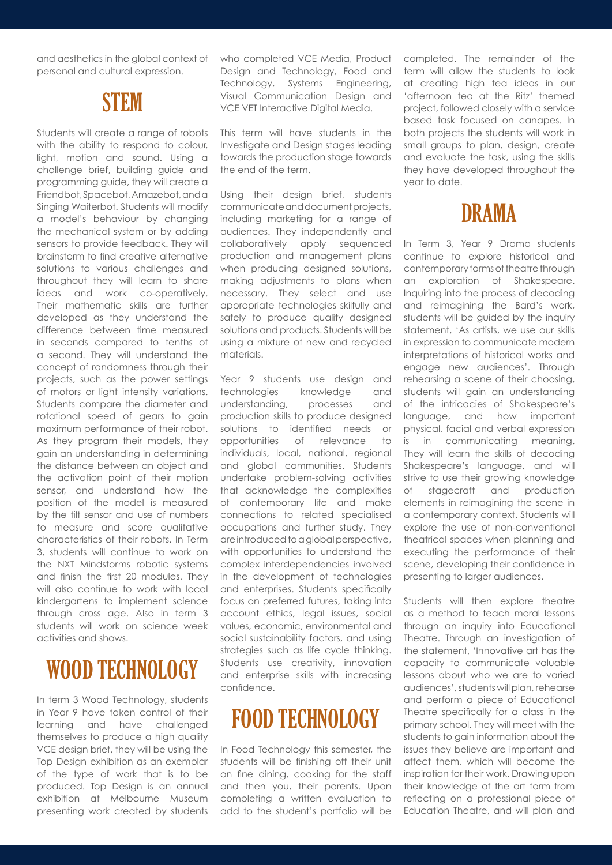and aesthetics in the global context of personal and cultural expression.

#### **STEM**

Students will create a range of robots with the ability to respond to colour, light, motion and sound. Using a challenge brief, building guide and programming guide, they will create a Friendbot, Spacebot, Amazebot, and a Singing Waiterbot. Students will modify a model's behaviour by changing the mechanical system or by adding sensors to provide feedback. They will brainstorm to find creative alternative solutions to various challenges and throughout they will learn to share ideas and work co-operatively. Their mathematic skills are further developed as they understand the difference between time measured in seconds compared to tenths of a second. They will understand the concept of randomness through their projects, such as the power settings of motors or light intensity variations. Students compare the diameter and rotational speed of gears to gain maximum performance of their robot. As they program their models, they gain an understanding in determining the distance between an object and the activation point of their motion sensor, and understand how the position of the model is measured by the tilt sensor and use of numbers to measure and score qualitative characteristics of their robots. In Term 3, students will continue to work on the NXT Mindstorms robotic systems and finish the first 20 modules. They will also continue to work with local kindergartens to implement science through cross age. Also in term 3 students will work on science week activities and shows.

# WOOD TECHNOLOGY

In term 3 Wood Technology, students in Year 9 have taken control of their learning and have challenged themselves to produce a high quality VCE design brief, they will be using the Top Design exhibition as an exemplar of the type of work that is to be produced. Top Design is an annual exhibition at Melbourne Museum presenting work created by students who completed VCE Media, Product Design and Technology, Food and Technology, Systems Engineering, Visual Communication Design and VCE VET Interactive Digital Media.

This term will have students in the Investigate and Design stages leading towards the production stage towards the end of the term.

Using their design brief, students communicate and document projects, including marketing for a range of audiences. They independently and collaboratively apply sequenced production and management plans when producing designed solutions, making adjustments to plans when necessary. They select and use appropriate technologies skilfully and safely to produce quality designed solutions and products. Students will be using a mixture of new and recycled materials.

Year 9 students use design and technologies knowledge and understanding, processes and production skills to produce designed solutions to identified needs or opportunities of relevance to individuals, local, national, regional and global communities. Students undertake problem-solving activities that acknowledge the complexities of contemporary life and make connections to related specialised occupations and further study. They are introduced to a global perspective, with opportunities to understand the complex interdependencies involved in the development of technologies and enterprises. Students specifically focus on preferred futures, taking into account ethics, legal issues, social values, economic, environmental and social sustainability factors, and using strategies such as life cycle thinking. Students use creativity, innovation and enterprise skills with increasing confidence.

# FOOD TECHNOLOGY

In Food Technology this semester, the students will be finishing off their unit on fine dining, cooking for the staff and then you, their parents. Upon completing a written evaluation to add to the student's portfolio will be completed. The remainder of the term will allow the students to look at creating high tea ideas in our 'afternoon tea at the Ritz' themed project, followed closely with a service based task focused on canapes. In both projects the students will work in small groups to plan, design, create and evaluate the task, using the skills they have developed throughout the year to date.



In Term 3, Year 9 Drama students continue to explore historical and contemporary forms of theatre through an exploration of Shakespeare. Inquiring into the process of decoding and reimagining the Bard's work, students will be guided by the inquiry statement, 'As artists, we use our skills in expression to communicate modern interpretations of historical works and engage new audiences'. Through rehearsing a scene of their choosing, students will gain an understanding of the intricacies of Shakespeare's language, and how important physical, facial and verbal expression is in communicating meaning. They will learn the skills of decoding Shakespeare's language, and will strive to use their growing knowledge of stagecraft and production elements in reimagining the scene in a contemporary context. Students will explore the use of non-conventional theatrical spaces when planning and executing the performance of their scene, developing their confidence in presenting to larger audiences.

Students will then explore theatre as a method to teach moral lessons through an inquiry into Educational Theatre. Through an investigation of the statement, 'Innovative art has the capacity to communicate valuable lessons about who we are to varied audiences', students will plan, rehearse and perform a piece of Educational Theatre specifically for a class in the primary school. They will meet with the students to gain information about the issues they believe are important and affect them, which will become the inspiration for their work. Drawing upon their knowledge of the art form from reflecting on a professional piece of Education Theatre, and will plan and